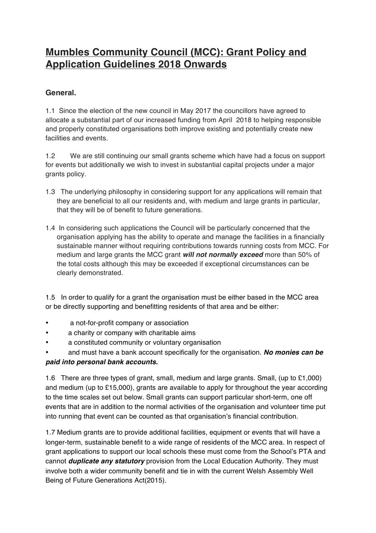# **Mumbles Community Council (MCC): Grant Policy and Application Guidelines 2018 Onwards**

#### **General.**

1.1 Since the election of the new council in May 2017 the councillors have agreed to allocate a substantial part of our increased funding from April 2018 to helping responsible and properly constituted organisations both improve existing and potentially create new facilities and events.

1.2 We are still continuing our small grants scheme which have had a focus on support for events but additionally we wish to invest in substantial capital projects under a major grants policy.

- 1.3 The underlying philosophy in considering support for any applications will remain that they are beneficial to all our residents and, with medium and large grants in particular, that they will be of benefit to future generations.
- 1.4 In considering such applications the Council will be particularly concerned that the organisation applying has the ability to operate and manage the facilities in a financially sustainable manner without requiring contributions towards running costs from MCC. For medium and large grants the MCC grant *will not normally exceed* more than 50% of the total costs although this may be exceeded if exceptional circumstances can be clearly demonstrated.

1.5 In order to qualify for a grant the organisation must be either based in the MCC area or be directly supporting and benefitting residents of that area and be either:

- a not-for-profit company or association
- a charity or company with charitable aims
- a constituted community or voluntary organisation
- and must have a bank account specifically for the organisation. *No monies can be paid into personal bank accounts.*

1.6 There are three types of grant, small, medium and large grants. Small, (up to £1,000) and medium (up to £15,000), grants are available to apply for throughout the year according to the time scales set out below. Small grants can support particular short-term, one off events that are in addition to the normal activities of the organisation and volunteer time put into running that event can be counted as that organisation's financial contribution.

1.7 Medium grants are to provide additional facilities, equipment or events that will have a longer-term, sustainable benefit to a wide range of residents of the MCC area. In respect of grant applications to support our local schools these must come from the School's PTA and cannot *duplicate any statutory* provision from the Local Education Authority. They must involve both a wider community benefit and tie in with the current Welsh Assembly Well Being of Future Generations Act(2015).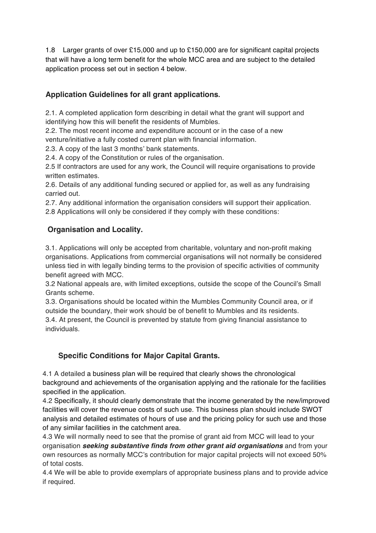1.8 Larger grants of over £15,000 and up to £150,000 are for significant capital projects that will have a long term benefit for the whole MCC area and are subject to the detailed application process set out in section 4 below.

## **Application Guidelines for all grant applications.**

2.1. A completed application form describing in detail what the grant will support and identifying how this will benefit the residents of Mumbles.

2.2. The most recent income and expenditure account or in the case of a new venture/initiative a fully costed current plan with financial information.

2.3. A copy of the last 3 months' bank statements.

2.4. A copy of the Constitution or rules of the organisation.

2.5 If contractors are used for any work, the Council will require organisations to provide written estimates.

2.6. Details of any additional funding secured or applied for, as well as any fundraising carried out.

2.7. Any additional information the organisation considers will support their application.

2.8 Applications will only be considered if they comply with these conditions:

## **Organisation and Locality.**

3.1. Applications will only be accepted from charitable, voluntary and non-profit making organisations. Applications from commercial organisations will not normally be considered unless tied in with legally binding terms to the provision of specific activities of community benefit agreed with MCC.

3.2 National appeals are, with limited exceptions, outside the scope of the Council's Small Grants scheme.

3.3. Organisations should be located within the Mumbles Community Council area, or if outside the boundary, their work should be of benefit to Mumbles and its residents. 3.4. At present, the Council is prevented by statute from giving financial assistance to individuals.

## **Specific Conditions for Major Capital Grants.**

4.1 A detailed a business plan will be required that clearly shows the chronological background and achievements of the organisation applying and the rationale for the facilities specified in the application.

4.2 Specifically, it should clearly demonstrate that the income generated by the new/improved facilities will cover the revenue costs of such use. This business plan should include SWOT analysis and detailed estimates of hours of use and the pricing policy for such use and those of any similar facilities in the catchment area.

4.3 We will normally need to see that the promise of grant aid from MCC will lead to your organisation *seeking substantive finds from other grant aid organisations* and from your own resources as normally MCC's contribution for major capital projects will not exceed 50% of total costs.

4.4 We will be able to provide exemplars of appropriate business plans and to provide advice if required.